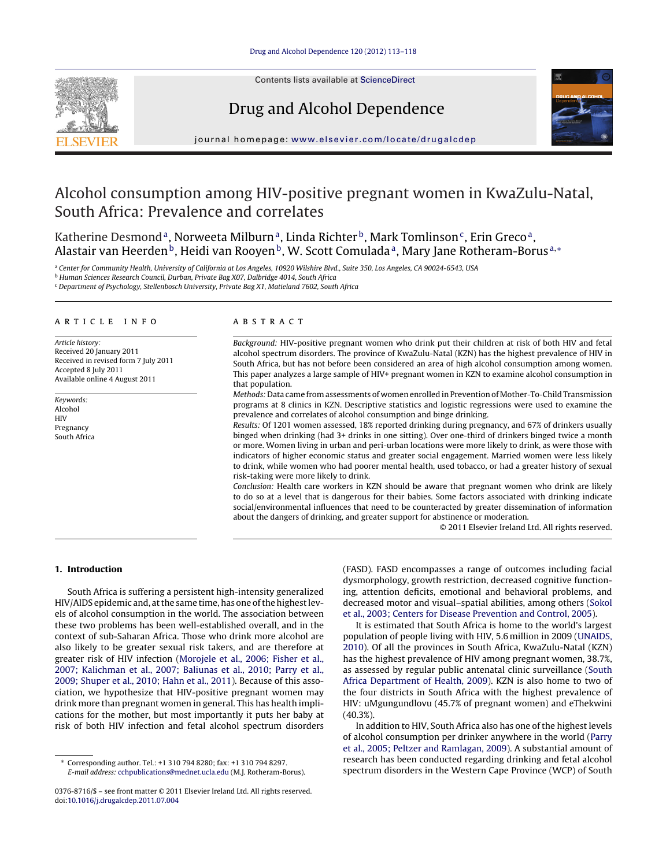

Contents lists available at [ScienceDirect](http://www.sciencedirect.com/science/journal/03768716)

# Drug and Alcohol Dependence



iournal homepage: [www.elsevier.com/locate/drugalcdep](http://www.elsevier.com/locate/drugalcdep)

# Alcohol consumption among HIV-positive pregnant women in KwaZulu-Natal, South Africa: Prevalence and correlates

Katherine Desmond<sup>a</sup>, Norweeta Milburn<sup>a</sup>, Linda Richter<sup>b</sup>, Mark Tomlinson<sup>c</sup>, Erin Greco<sup>a</sup>, Alastair van Heerden<sup>b</sup>, Heidi van Rooyen<sup>b</sup>, W. Scott Comulada<sup>a</sup>, Mary Jane Rotheram-Borus<sup>a,\*</sup>

<sup>a</sup> Center for Community Health, University of California at Los Angeles, 10920 Wilshire Blvd., Suite 350, Los Angeles, CA 90024-6543, USA

<sup>b</sup> Human Sciences Research Council, Durban, Private Bag X07, Dalbridge 4014, South Africa

<sup>c</sup> Department of Psychology, Stellenbosch University, Private Bag X1, Matieland 7602, South Africa

# a r t i c l e i n f o

Article history: Received 20 January 2011 Received in revised form 7 July 2011 Accepted 8 July 2011 Available online 4 August 2011

Keywords: Alcohol **HIV** Pregnancy South Africa

#### A B S T R A C T

Background: HIV-positive pregnant women who drink put their children at risk of both HIV and fetal alcohol spectrum disorders. The province of KwaZulu-Natal (KZN) has the highest prevalence of HIV in South Africa, but has not before been considered an area of high alcohol consumption among women. This paper analyzes a large sample of HIV+ pregnant women in KZN to examine alcohol consumption in that population.

Methods: Data came from assessments of women enrolled in Prevention of Mother-To-Child Transmission programs at 8 clinics in KZN. Descriptive statistics and logistic regressions were used to examine the prevalence and correlates of alcohol consumption and binge drinking.

Results: Of 1201 women assessed, 18% reported drinking during pregnancy, and 67% of drinkers usually binged when drinking (had 3+ drinks in one sitting). Over one-third of drinkers binged twice a month or more. Women living in urban and peri-urban locations were more likely to drink, as were those with indicators of higher economic status and greater social engagement. Married women were less likely to drink, while women who had poorer mental health, used tobacco, or had a greater history of sexual risk-taking were more likely to drink.

Conclusion: Health care workers in KZN should be aware that pregnant women who drink are likely to do so at a level that is dangerous for their babies. Some factors associated with drinking indicate social/environmental influences that need to be counteracted by greater dissemination of information about the dangers of drinking, and greater support for abstinence or moderation.

© 2011 Elsevier Ireland Ltd. All rights reserved.

# **1. Introduction**

South Africa is suffering a persistent high-intensity generalized HIV/AIDS epidemic and, at the same time, has one of the highest levels of alcohol consumption in the world. The association between these two problems has been well-established overall, and in the context of sub-Saharan Africa. Those who drink more alcohol are also likely to be greater sexual risk takers, and are therefore at greater risk of HIV infection [\(Morojele](#page-5-0) et [al.,](#page-5-0) [2006;](#page-5-0) [Fisher](#page-5-0) et [al.,](#page-5-0) [2007;](#page-5-0) [Kalichman](#page-5-0) et [al.,](#page-5-0) [2007;](#page-5-0) [Baliunas](#page-5-0) et [al.,](#page-5-0) [2010;](#page-5-0) [Parry](#page-5-0) et [al.,](#page-5-0) [2009;](#page-5-0) [Shuper](#page-5-0) et [al.,](#page-5-0) [2010;](#page-5-0) [Hahn](#page-5-0) et [al.,](#page-5-0) [2011\).](#page-5-0) Because of this association, we hypothesize that HIV-positive pregnant women may drink more than pregnant women in general. This has health implications for the mother, but most importantly it puts her baby at risk of both HIV infection and fetal alcohol spectrum disorders

(FASD). FASD encompasses a range of outcomes including facial dysmorphology, growth restriction, decreased cognitive functioning, attention deficits, emotional and behavioral problems, and decreased motor and visual–spatial abilities, among others ([Sokol](#page-5-0) et [al.,](#page-5-0) [2003;](#page-5-0) [Centers](#page-5-0) [for](#page-5-0) [Disease](#page-5-0) [Prevention](#page-5-0) [and](#page-5-0) [Control,](#page-5-0) [2005\).](#page-5-0)

It is estimated that South Africa is home to the world's largest population of people living with HIV, 5.6 million in 2009 [\(UNAIDS,](#page-5-0) [2010\).](#page-5-0) Of all the provinces in South Africa, KwaZulu-Natal (KZN) has the highest prevalence of HIV among pregnant women, 38.7%, as assessed by regular public antenatal clinic surveillance ([South](#page-5-0) [Africa](#page-5-0) [Department](#page-5-0) [of](#page-5-0) [Health,](#page-5-0) [2009\).](#page-5-0) KZN is also home to two of the four districts in South Africa with the highest prevalence of HIV: uMgungundlovu (45.7% of pregnant women) and eThekwini (40.3%).

In addition to HIV, South Africa also has one of the highest levels of alcohol consumption per drinker anywhere in the world [\(Parry](#page-5-0) et [al.,](#page-5-0) [2005;](#page-5-0) [Peltzer](#page-5-0) [and](#page-5-0) [Ramlagan,](#page-5-0) [2009\).](#page-5-0) A substantial amount of research has been conducted regarding drinking and fetal alcohol spectrum disorders in the Western Cape Province (WCP) of South

<sup>∗</sup> Corresponding author. Tel.: +1 310 794 8280; fax: +1 310 794 8297. E-mail address: [cchpublications@mednet.ucla.edu](mailto:cchpublications@mednet.ucla.edu) (M.J. Rotheram-Borus).

<sup>0376-8716/\$</sup> – see front matter © 2011 Elsevier Ireland Ltd. All rights reserved. doi:[10.1016/j.drugalcdep.2011.07.004](dx.doi.org/10.1016/j.drugalcdep.2011.07.004)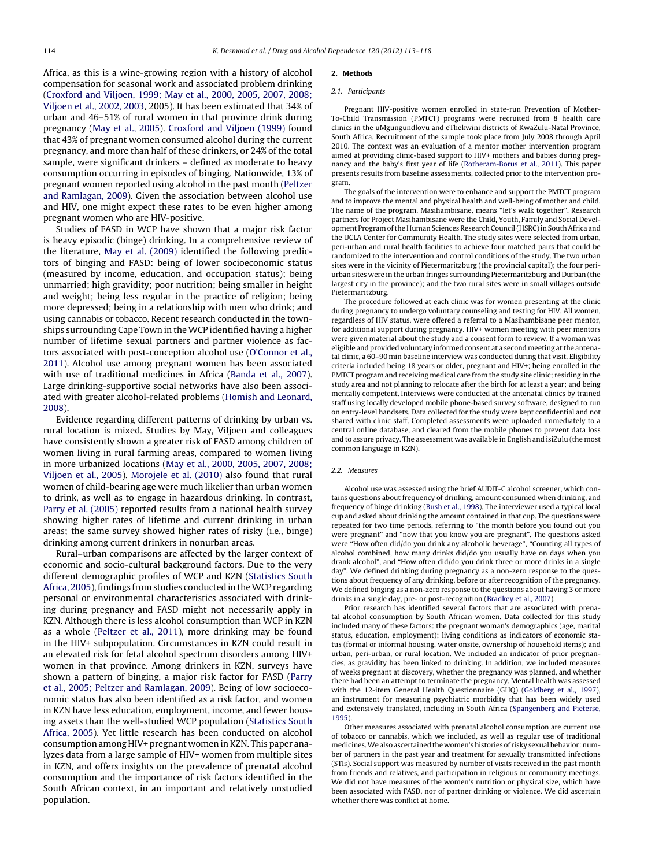Africa, as this is a wine-growing region with a history of alcohol compensation for seasonal work and associated problem drinking ([Croxford](#page-5-0) [and](#page-5-0) [Viljoen,](#page-5-0) [1999;](#page-5-0) [May](#page-5-0) et [al.,](#page-5-0) [2000,](#page-5-0) [2005,](#page-5-0) [2007,](#page-5-0) [2008;](#page-5-0) [Viljoen](#page-5-0) [et](#page-5-0) [al.,](#page-5-0) [2002,](#page-5-0) [2003,](#page-5-0) 2005). It has been estimated that 34% of urban and 46–51% of rural women in that province drink during pregnancy [\(May](#page-5-0) et [al.,](#page-5-0) [2005\).](#page-5-0) [Croxford](#page-5-0) [and](#page-5-0) [Viljoen](#page-5-0) [\(1999\)](#page-5-0) found that 43% of pregnant women consumed alcohol during the current pregnancy, and more than half of these drinkers, or 24% of the total sample, were significant drinkers – defined as moderate to heavy consumption occurring in episodes of binging. Nationwide, 13% of pregnant women reported using alcohol in the past month ([Peltzer](#page-5-0) [and](#page-5-0) [Ramlagan,](#page-5-0) [2009\).](#page-5-0) Given the association between alcohol use and HIV, one might expect these rates to be even higher among pregnant women who are HIV-positive.

Studies of FASD in WCP have shown that a major risk factor is heavy episodic (binge) drinking. In a comprehensive review of the literature, [May](#page-5-0) et [al.](#page-5-0) [\(2009\)](#page-5-0) identified the following predictors of binging and FASD: being of lower socioeconomic status (measured by income, education, and occupation status); being unmarried; high gravidity; poor nutrition; being smaller in height and weight; being less regular in the practice of religion; being more depressed; being in a relationship with men who drink; and using cannabis or tobacco. Recent research conducted in the townships surrounding Cape Town in the WCP identified having a higher number of lifetime sexual partners and partner violence as factors associated with post-conception alcohol use ([O'Connor](#page-5-0) et [al.,](#page-5-0) [2011\).](#page-5-0) Alcohol use among pregnant women has been associated with use of traditional medicines in Africa [\(Banda](#page-5-0) et [al.,](#page-5-0) [2007\).](#page-5-0) Large drinking-supportive social networks have also been associated with greater alcohol-related problems [\(Homish](#page-5-0) [and](#page-5-0) [Leonard,](#page-5-0) [2008\).](#page-5-0)

Evidence regarding different patterns of drinking by urban vs. rural location is mixed. Studies by May, Viljoen and colleagues have consistently shown a greater risk of FASD among children of women living in rural farming areas, compared to women living in more urbanized locations ([May](#page-5-0) et [al.,](#page-5-0) [2000,](#page-5-0) [2005,](#page-5-0) [2007,](#page-5-0) [2008;](#page-5-0) [Viljoen](#page-5-0) et [al.,](#page-5-0) [2005\).](#page-5-0) [Morojele](#page-5-0) et [al.](#page-5-0) [\(2010\)](#page-5-0) also found that rural women of child-bearing age were much likelier than urban women to drink, as well as to engage in hazardous drinking. In contrast, [Parry](#page-5-0) et [al.](#page-5-0) [\(2005\)](#page-5-0) reported results from a national health survey showing higher rates of lifetime and current drinking in urban areas; the same survey showed higher rates of risky (i.e., binge) drinking among current drinkers in nonurban areas.

Rural–urban comparisons are affected by the larger context of economic and socio-cultural background factors. Due to the very different demographic profiles of WCP and KZN [\(Statistics](#page-5-0) [South](#page-5-0) [Africa,](#page-5-0) [2005\),](#page-5-0) findings from studies conducted in the WCP regarding personal or environmental characteristics associated with drinking during pregnancy and FASD might not necessarily apply in KZN. Although there is less alcohol consumption than WCP in KZN as a whole ([Peltzer](#page-5-0) et [al.,](#page-5-0) [2011\),](#page-5-0) more drinking may be found in the HIV+ subpopulation. Circumstances in KZN could result in an elevated risk for fetal alcohol spectrum disorders among HIV+ women in that province. Among drinkers in KZN, surveys have shown a pattern of binging, a major risk factor for FASD [\(Parry](#page-5-0) et [al.,](#page-5-0) [2005;](#page-5-0) [Peltzer](#page-5-0) [and](#page-5-0) [Ramlagan,](#page-5-0) [2009\).](#page-5-0) Being of low socioeconomic status has also been identified as a risk factor, and women in KZN have less education, employment, income, and fewer housing assets than the well-studied WCP population ([Statistics](#page-5-0) [South](#page-5-0) [Africa,](#page-5-0) [2005\).](#page-5-0) Yet little research has been conducted on alcohol consumption among HIV+ pregnant women in KZN. This paper analyzes data from a large sample of HIV+ women from multiple sites in KZN, and offers insights on the prevalence of prenatal alcohol consumption and the importance of risk factors identified in the South African context, in an important and relatively unstudied population.

#### **2. Methods**

## 2.1. Participants

Pregnant HIV-positive women enrolled in state-run Prevention of Mother-To-Child Transmission (PMTCT) programs were recruited from 8 health care clinics in the uMgungundlovu and eThekwini districts of KwaZulu-Natal Province, South Africa. Recruitment of the sample took place from July 2008 through April 2010. The context was an evaluation of a mentor mother intervention program aimed at providing clinic-based support to HIV+ mothers and babies during pregnancy and the baby's first year of life [\(Rotheram-Borus](#page-5-0) et [al.,](#page-5-0) [2011\).](#page-5-0) This paper presents results from baseline assessments, collected prior to the intervention program.

The goals of the intervention were to enhance and support the PMTCT program and to improve the mental and physical health and well-being of mother and child. The name of the program, Masihambisane, means "let's walk together". Research partners for Project Masihambisane were the Child, Youth, Family and Social Development Program of the Human Sciences Research Council (HSRC) in South Africa and the UCLA Center for Community Health. The study sites were selected from urban, peri-urban and rural health facilities to achieve four matched pairs that could be randomized to the intervention and control conditions of the study. The two urban sites were in the vicinity of Pietermaritzburg (the provincial capital); the four periurban sites were in the urban fringes surrounding Pietermaritzburg and Durban (the largest city in the province); and the two rural sites were in small villages outside Pietermaritzburg.

The procedure followed at each clinic was for women presenting at the clinic during pregnancy to undergo voluntary counseling and testing for HIV. All women, regardless of HIV status, were offered a referral to a Masihambisane peer mentor, for additional support during pregnancy. HIV+ women meeting with peer mentors were given material about the study and a consent form to review. If a woman was eligible and provided voluntary informed consent at a second meeting atthe antenatal clinic, a 60–90 min baseline interview was conducted during that visit. Eligibility criteria included being 18 years or older, pregnant and HIV+; being enrolled in the PMTCT program and receiving medical care from the study site clinic; residing in the study area and not planning to relocate after the birth for at least a year; and being mentally competent. Interviews were conducted at the antenatal clinics by trained staff using locally developed mobile phone-based survey software, designed to run on entry-level handsets. Data collected for the study were kept confidential and not shared with clinic staff. Completed assessments were uploaded immediately to a central online database, and cleared from the mobile phones to prevent data loss and to assure privacy. The assessment was available in English and isiZulu (the most common language in KZN).

## 2.2. Measures

Alcohol use was assessed using the brief AUDIT-C alcohol screener, which contains questions about frequency of drinking, amount consumed when drinking, and frequency of binge drinking ([Bush](#page-5-0) et [al.,](#page-5-0) [1998\).](#page-5-0) The interviewer used a typical local cup and asked about drinking the amount contained in that cup. The questions were repeated for two time periods, referring to "the month before you found out you were pregnant" and "now that you know you are pregnant". The questions asked were "How often did/do you drink any alcoholic beverage", "Counting all types of alcohol combined, how many drinks did/do you usually have on days when you drank alcohol", and "How often did/do you drink three or more drinks in a single day". We defined drinking during pregnancy as a non-zero response to the questions about frequency of any drinking, before or after recognition of the pregnancy. We defined binging as a non-zero response to the questions about having 3 or more drinks in a single day, pre- or post-recognition ([Bradkey](#page-5-0) et [al.,](#page-5-0) [2007\).](#page-5-0)

Prior research has identified several factors that are associated with prenatal alcohol consumption by South African women. Data collected for this study included many of these factors: the pregnant woman's demographics (age, marital status, education, employment); living conditions as indicators of economic status (formal or informal housing, water onsite, ownership of household items); and urban, peri-urban, or rural location. We included an indicator of prior pregnancies, as gravidity has been linked to drinking. In addition, we included measures of weeks pregnant at discovery, whether the pregnancy was planned, and whether there had been an attempt to terminate the pregnancy. Mental health was assessed with the 12-item General Health Questionnaire (GHQ) [\(Goldberg](#page-5-0) et [al.,](#page-5-0) [1997\),](#page-5-0) an instrument for measuring psychiatric morbidity that has been widely used and extensively translated, including in South Africa ([Spangenberg](#page-5-0) [and](#page-5-0) [Pieterse,](#page-5-0) [1995\).](#page-5-0)

Other measures associated with prenatal alcohol consumption are current use of tobacco or cannabis, which we included, as well as regular use of traditional medicines. We also ascertained the women's histories of risky sexual behavior: number of partners in the past year and treatment for sexually transmitted infections (STIs). Social support was measured by number of visits received in the past month from friends and relatives, and participation in religious or community meetings. We did not have measures of the women's nutrition or physical size, which have been associated with FASD, nor of partner drinking or violence. We did ascertain whether there was conflict at home.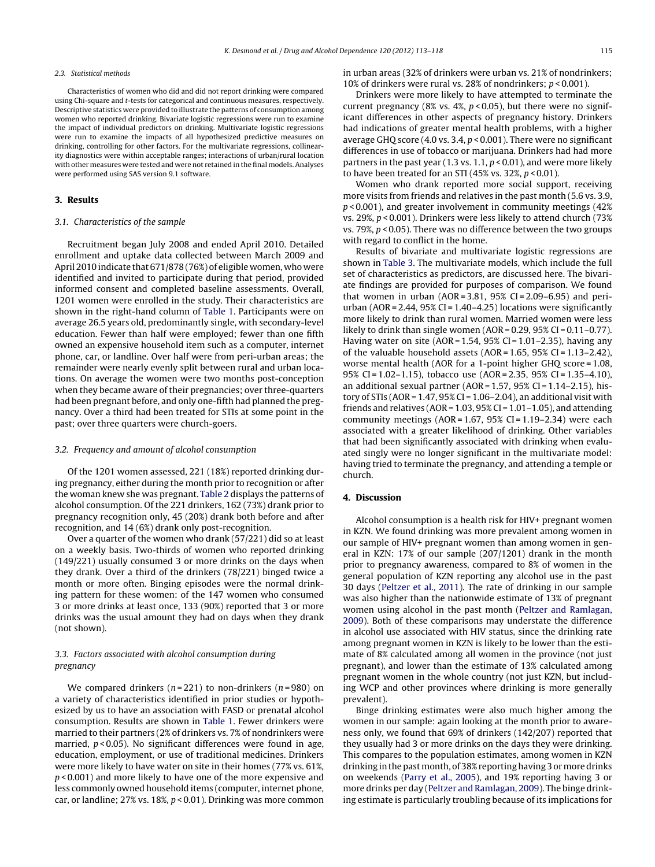#### 2.3. Statistical methods

Characteristics of women who did and did not report drinking were compared using Chi-square and t-tests for categorical and continuous measures, respectively. Descriptive statistics were provided to illustrate the patterns of consumption among women who reported drinking. Bivariate logistic regressions were run to examine the impact of individual predictors on drinking. Multivariate logistic regressions were run to examine the impacts of all hypothesized predictive measures on drinking, controlling for other factors. For the multivariate regressions, collinearity diagnostics were within acceptable ranges; interactions of urban/rural location with other measures were tested and were not retained in the final models. Analyses were performed using SAS version 9.1 software.

# **3. Results**

#### 3.1. Characteristics of the sample

Recruitment began July 2008 and ended April 2010. Detailed enrollment and uptake data collected between March 2009 and April 2010 indicate that 671/878 (76%) of eligible women, who were identified and invited to participate during that period, provided informed consent and completed baseline assessments. Overall, 1201 women were enrolled in the study. Their characteristics are shown in the right-hand column of [Table](#page-3-0) 1. Participants were on average 26.5 years old, predominantly single, with secondary-level education. Fewer than half were employed; fewer than one fifth owned an expensive household item such as a computer, internet phone, car, or landline. Over half were from peri-urban areas; the remainder were nearly evenly split between rural and urban locations. On average the women were two months post-conception when they became aware of their pregnancies; over three-quarters had been pregnant before, and only one-fifth had planned the pregnancy. Over a third had been treated for STIs at some point in the past; over three quarters were church-goers.

#### 3.2. Frequency and amount of alcohol consumption

Of the 1201 women assessed, 221 (18%) reported drinking during pregnancy, either during the month prior to recognition or after the woman knew she was pregnant. [Table](#page-3-0) 2 displays the patterns of alcohol consumption. Of the 221 drinkers, 162 (73%) drank prior to pregnancy recognition only, 45 (20%) drank both before and after recognition, and 14 (6%) drank only post-recognition.

Over a quarter of the women who drank (57/221) did so at least on a weekly basis. Two-thirds of women who reported drinking (149/221) usually consumed 3 or more drinks on the days when they drank. Over a third of the drinkers (78/221) binged twice a month or more often. Binging episodes were the normal drinking pattern for these women: of the 147 women who consumed 3 or more drinks at least once, 133 (90%) reported that 3 or more drinks was the usual amount they had on days when they drank (not shown).

# 3.3. Factors associated with alcohol consumption during pregnancy

We compared drinkers ( $n = 221$ ) to non-drinkers ( $n = 980$ ) on a variety of characteristics identified in prior studies or hypothesized by us to have an association with FASD or prenatal alcohol consumption. Results are shown in [Table](#page-3-0) 1. Fewer drinkers were married to their partners (2% of drinkers vs. 7% of nondrinkers were married,  $p < 0.05$ ). No significant differences were found in age, education, employment, or use of traditional medicines. Drinkers were more likely to have water on site in their homes (77% vs. 61%,  $p$  < 0.001) and more likely to have one of the more expensive and less commonly owned household items (computer, internet phone, car, or landline; 27% vs. 18%,  $p < 0.01$ ). Drinking was more common

in urban areas (32% of drinkers were urban vs. 21% of nondrinkers; 10% of drinkers were rural vs. 28% of nondrinkers; p < 0.001).

Drinkers were more likely to have attempted to terminate the current pregnancy (8% vs. 4%,  $p$  < 0.05), but there were no significant differences in other aspects of pregnancy history. Drinkers had indications of greater mental health problems, with a higher average GHQ score (4.0 vs. 3.4, p < 0.001). There were no significant differences in use of tobacco or marijuana. Drinkers had had more partners in the past year (1.3 vs. 1.1,  $p < 0.01$ ), and were more likely to have been treated for an STI (45% vs. 32%,  $p < 0.01$ ).

Women who drank reported more social support, receiving more visits from friends and relatives in the past month (5.6 vs. 3.9, p < 0.001), and greater involvement in community meetings (42% vs. 29%, p < 0.001). Drinkers were less likely to attend church (73% vs. 79%,  $p < 0.05$ ). There was no difference between the two groups with regard to conflict in the home.

Results of bivariate and multivariate logistic regressions are shown in [Table](#page-4-0) 3. The multivariate models, which include the full set of characteristics as predictors, are discussed here. The bivariate findings are provided for purposes of comparison. We found that women in urban (AOR =  $3.81$ ,  $95\%$  CI =  $2.09 - 6.95$ ) and periurban (AOR = 2.44,  $95\%$  CI = 1.40–4.25) locations were significantly more likely to drink than rural women. Married women were less likely to drink than single women (AOR = 0.29, 95% CI = 0.11-0.77). Having water on site (AOR =  $1.54$ ,  $95\%$  CI =  $1.01 - 2.35$ ), having any of the valuable household assets (AOR = 1.65, 95% CI = 1.13–2.42), worse mental health (AOR for a 1-point higher GHQ score = 1.08, 95% CI = 1.02–1.15), tobacco use (AOR = 2.35, 95% CI = 1.35–4.10), an additional sexual partner ( $AOR = 1.57$ ,  $95\%$  CI = 1.14–2.15), history of STIs (AOR =  $1.47,95\%$  CI =  $1.06-2.04$ ), an additional visit with friends and relatives (AOR =  $1.03$ ,  $95\%$  CI =  $1.01$ – $1.05$ ), and attending community meetings (AOR =  $1.67$ , 95% CI =  $1.19-2.34$ ) were each associated with a greater likelihood of drinking. Other variables that had been significantly associated with drinking when evaluated singly were no longer significant in the multivariate model: having tried to terminate the pregnancy, and attending a temple or church.

# **4. Discussion**

Alcohol consumption is a health risk for HIV+ pregnant women in KZN. We found drinking was more prevalent among women in our sample of HIV+ pregnant women than among women in general in KZN: 17% of our sample (207/1201) drank in the month prior to pregnancy awareness, compared to 8% of women in the general population of KZN reporting any alcohol use in the past 30 days [\(Peltzer](#page-5-0) et [al.,](#page-5-0) [2011\).](#page-5-0) The rate of drinking in our sample was also higher than the nationwide estimate of 13% of pregnant women using alcohol in the past month ([Peltzer](#page-5-0) [and](#page-5-0) [Ramlagan,](#page-5-0) [2009\).](#page-5-0) Both of these comparisons may understate the difference in alcohol use associated with HIV status, since the drinking rate among pregnant women in KZN is likely to be lower than the estimate of 8% calculated among all women in the province (not just pregnant), and lower than the estimate of 13% calculated among pregnant women in the whole country (not just KZN, but including WCP and other provinces where drinking is more generally prevalent).

Binge drinking estimates were also much higher among the women in our sample: again looking at the month prior to awareness only, we found that 69% of drinkers (142/207) reported that they usually had 3 or more drinks on the days they were drinking. This compares to the population estimates, among women in KZN drinking in the past month, of 38% reporting having 3 or more drinks on weekends ([Parry](#page-5-0) et [al.,](#page-5-0) [2005\),](#page-5-0) and 19% reporting having 3 or more drinks per day ([Peltzer](#page-5-0) [and](#page-5-0) [Ramlagan,](#page-5-0) [2009\).](#page-5-0) The binge drinking estimate is particularly troubling because of its implications for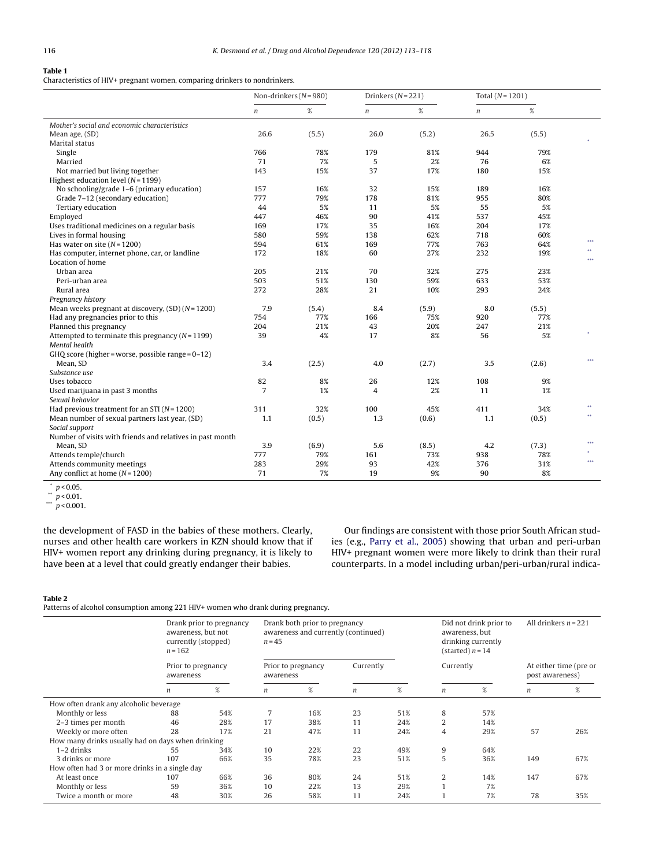# <span id="page-3-0"></span>**Table 1**

Characteristics of HIV+ pregnant women, comparing drinkers to nondrinkers.

|                                                           | Non-drinkers $(N=980)$ |       | Drinkers $(N=221)$ |       | Total $(N = 1201)$ |       |            |
|-----------------------------------------------------------|------------------------|-------|--------------------|-------|--------------------|-------|------------|
|                                                           | $\boldsymbol{n}$       | $\%$  | $\boldsymbol{n}$   | $\%$  | $\boldsymbol{n}$   | %     |            |
| Mother's social and economic characteristics              |                        |       |                    |       |                    |       |            |
| Mean age, (SD)                                            | 26.6                   | (5.5) | 26.0               | (5.2) | 26.5               | (5.5) |            |
| Marital status                                            |                        |       |                    |       |                    |       |            |
| Single                                                    | 766                    | 78%   | 179                | 81%   | 944                | 79%   |            |
| Married                                                   | 71                     | 7%    | 5                  | 2%    | 76                 | 6%    |            |
| Not married but living together                           | 143                    | 15%   | 37                 | 17%   | 180                | 15%   |            |
| Highest education level $(N = 1199)$                      |                        |       |                    |       |                    |       |            |
| No schooling/grade 1-6 (primary education)                | 157                    | 16%   | 32                 | 15%   | 189                | 16%   |            |
| Grade 7-12 (secondary education)                          | 777                    | 79%   | 178                | 81%   | 955                | 80%   |            |
| Tertiary education                                        | 44                     | 5%    | 11                 | 5%    | 55                 | 5%    |            |
| Employed                                                  | 447                    | 46%   | 90                 | 41%   | 537                | 45%   |            |
| Uses traditional medicines on a regular basis             | 169                    | 17%   | 35                 | 16%   | 204                | 17%   |            |
| Lives in formal housing                                   | 580                    | 59%   | 138                | 62%   | 718                | 60%   |            |
| Has water on site $(N = 1200)$                            | 594                    | 61%   | 169                | 77%   | 763                | 64%   | $***$      |
| Has computer, internet phone, car, or landline            | 172                    | 18%   | 60                 | 27%   | 232                | 19%   | $\ast\ast$ |
| Location of home                                          |                        |       |                    |       |                    |       | $***$      |
| Urban area                                                | 205                    | 21%   | 70                 | 32%   | 275                | 23%   |            |
| Peri-urban area                                           | 503                    | 51%   | 130                | 59%   | 633                | 53%   |            |
| Rural area                                                | 272                    | 28%   | 21                 | 10%   | 293                | 24%   |            |
| Pregnancy history                                         |                        |       |                    |       |                    |       |            |
| Mean weeks pregnant at discovery, $(SD)(N=1200)$          | 7.9                    | (5.4) | 8.4                | (5.9) | 8.0                | (5.5) |            |
| Had any pregnancies prior to this                         | 754                    | 77%   | 166                | 75%   | 920                | 77%   |            |
| Planned this pregnancy                                    | 204                    | 21%   | 43                 | 20%   | 247                | 21%   |            |
| Attempted to terminate this pregnancy $(N = 1199)$        | 39                     | 4%    | 17                 | 8%    | 56                 | 5%    |            |
| Mental health                                             |                        |       |                    |       |                    |       |            |
| GHQ score (higher = worse, possible range = $0-12$ )      |                        |       |                    |       |                    |       |            |
| Mean, SD                                                  | 3.4                    | (2.5) | 4.0                | (2.7) | 3.5                | (2.6) | $***$      |
| Substance use                                             |                        |       |                    |       |                    |       |            |
| Uses tobacco                                              | 82                     | 8%    | 26                 | 12%   | 108                | 9%    |            |
| Used marijuana in past 3 months                           | 7                      | 1%    | 4                  | 2%    | 11                 | 1%    |            |
| Sexual behavior                                           |                        |       |                    |       |                    |       |            |
| Had previous treatment for an STI ( $N = 1200$ )          | 311                    | 32%   | 100                | 45%   | 411                | 34%   | $\ast\ast$ |
| Mean number of sexual partners last year, (SD)            | 1.1                    | (0.5) | 1.3                | (0.6) | 1.1                | (0.5) | $\ast\ast$ |
| Social support                                            |                        |       |                    |       |                    |       |            |
| Number of visits with friends and relatives in past month |                        |       |                    |       |                    |       |            |
| Mean, SD                                                  | 3.9                    | (6.9) | 5.6                | (8.5) | 4.2                | (7.3) | ***        |
| Attends temple/church                                     | 777                    | 79%   | 161                | 73%   | 938                | 78%   |            |
| Attends community meetings                                | 283                    | 29%   | 93                 | 42%   | 376                | 31%   | $***$      |
| Any conflict at home $(N = 1200)$                         | 71                     | 7%    | 19                 | 9%    | 90                 | 8%    |            |

 $p$  < 0.05.

 $\degree$  p < 0.01.

 $\frac{m}{p}$  < 0.001.

the development of FASD in the babies of these mothers. Clearly, nurses and other health care workers in KZN should know that if HIV+ women report any drinking during pregnancy, it is likely to have been at a level that could greatly endanger their babies.

Our findings are consistent with those prior South African studies (e.g., [Parry](#page-5-0) et [al.,](#page-5-0) [2005\)](#page-5-0) showing that urban and peri-urban HIV+ pregnant women were more likely to drink than their rural counterparts. In a model including urban/peri-urban/rural indica-

# **Table 2**

Patterns of alcohol consumption among 221 HIV+ women who drank during pregnancy.

|                                                   | Drank prior to pregnancy<br>awareness, but not<br>currently (stopped)<br>$n = 162$<br>Prior to pregnancy<br>awareness |     | Drank both prior to pregnancy<br>awareness and currently (continued)<br>$n = 45$ |     |                  |     | Did not drink prior to<br>awareness, but<br>drinking currently<br>(started) $n = 14$ |     |                                           | All drinkers $n = 221$ |
|---------------------------------------------------|-----------------------------------------------------------------------------------------------------------------------|-----|----------------------------------------------------------------------------------|-----|------------------|-----|--------------------------------------------------------------------------------------|-----|-------------------------------------------|------------------------|
|                                                   |                                                                                                                       |     | Prior to pregnancy<br>awareness                                                  |     | Currently        |     | Currently                                                                            |     | At either time (pre or<br>post awareness) |                        |
|                                                   | n                                                                                                                     | %   | $\boldsymbol{n}$                                                                 | %   | $\boldsymbol{n}$ | %   | n                                                                                    | %   | $\boldsymbol{n}$                          | %                      |
| How often drank any alcoholic beverage            |                                                                                                                       |     |                                                                                  |     |                  |     |                                                                                      |     |                                           |                        |
| Monthly or less                                   | 88                                                                                                                    | 54% | $\overline{7}$                                                                   | 16% | 23               | 51% | 8                                                                                    | 57% |                                           |                        |
| 2-3 times per month                               | 46                                                                                                                    | 28% | 17                                                                               | 38% | 11               | 24% | 2                                                                                    | 14% |                                           |                        |
| Weekly or more often                              | 28                                                                                                                    | 17% | 21                                                                               | 47% | 11               | 24% | 4                                                                                    | 29% | 57                                        | 26%                    |
| How many drinks usually had on days when drinking |                                                                                                                       |     |                                                                                  |     |                  |     |                                                                                      |     |                                           |                        |
| $1-2$ drinks                                      | 55                                                                                                                    | 34% | 10                                                                               | 22% | 22               | 49% | 9                                                                                    | 64% |                                           |                        |
| 3 drinks or more                                  | 107                                                                                                                   | 66% | 35                                                                               | 78% | 23               | 51% | 5                                                                                    | 36% | 149                                       | 67%                    |
| How often had 3 or more drinks in a single day    |                                                                                                                       |     |                                                                                  |     |                  |     |                                                                                      |     |                                           |                        |
| At least once                                     | 107                                                                                                                   | 66% | 36                                                                               | 80% | 24               | 51% | 2                                                                                    | 14% | 147                                       | 67%                    |
| Monthly or less                                   | 59                                                                                                                    | 36% | 10                                                                               | 22% | 13               | 29% |                                                                                      | 7%  |                                           |                        |
| Twice a month or more                             | 48                                                                                                                    | 30% | 26                                                                               | 58% | 11               | 24% |                                                                                      | 7%  | 78                                        | 35%                    |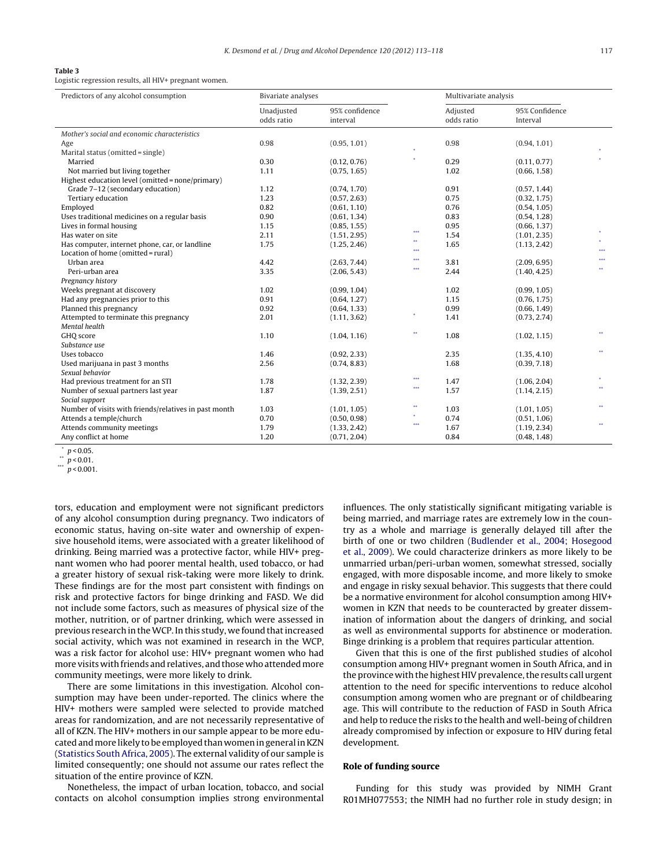#### <span id="page-4-0"></span>**Table 3**

Logistic regression results, all HIV+ pregnant women.

| Predictors of any alcohol consumption                 | Bivariate analyses       |                            |     | Multivariate analysis  |                            |      |
|-------------------------------------------------------|--------------------------|----------------------------|-----|------------------------|----------------------------|------|
|                                                       | Unadjusted<br>odds ratio | 95% confidence<br>interval |     | Adjusted<br>odds ratio | 95% Confidence<br>Interval |      |
| Mother's social and economic characteristics          |                          |                            |     |                        |                            |      |
| Age                                                   | 0.98                     | (0.95, 1.01)               |     | 0.98                   | (0.94, 1.01)               |      |
| Marital status (omitted = single)                     |                          |                            |     |                        |                            |      |
| Married                                               | 0.30                     | (0.12, 0.76)               |     | 0.29                   | (0.11, 0.77)               |      |
| Not married but living together                       | 1.11                     | (0.75, 1.65)               |     | 1.02                   | (0.66, 1.58)               |      |
| Highest education level (omitted = none/primary)      |                          |                            |     |                        |                            |      |
| Grade 7-12 (secondary education)                      | 1.12                     | (0.74, 1.70)               |     | 0.91                   | (0.57, 1.44)               |      |
| Tertiary education                                    | 1.23                     | (0.57, 2.63)               |     | 0.75                   | (0.32, 1.75)               |      |
| Employed                                              | 0.82                     | (0.61, 1.10)               |     | 0.76                   | (0.54, 1.05)               |      |
| Uses traditional medicines on a regular basis         | 0.90                     | (0.61, 1.34)               |     | 0.83                   | (0.54, 1.28)               |      |
| Lives in formal housing                               | 1.15                     | (0.85, 1.55)               |     | 0.95                   | (0.66, 1.37)               |      |
| Has water on site                                     | 2.11                     | (1.51, 2.95)               | *** | 1.54                   | (1.01, 2.35)               |      |
| Has computer, internet phone, car, or landline        | 1.75                     | (1.25, 2.46)               | 88. | 1.65                   | (1.13, 2.42)               |      |
| Location of home (omitted = rural)                    |                          |                            | *** |                        |                            | ***  |
| Urban area                                            | 4.42                     | (2.63, 7.44)               | *** | 3.81                   | (2.09, 6.95)               | ***  |
| Peri-urban area                                       | 3.35                     | (2.06, 5.43)               | *** | 2.44                   | (1.40, 4.25)               | ××.  |
| Pregnancy history                                     |                          |                            |     |                        |                            |      |
| Weeks pregnant at discovery                           | 1.02                     | (0.99, 1.04)               |     | 1.02                   | (0.99, 1.05)               |      |
| Had any pregnancies prior to this                     | 0.91                     | (0.64, 1.27)               |     | 1.15                   | (0.76, 1.75)               |      |
| Planned this pregnancy                                | 0.92                     | (0.64, 1.33)               |     | 0.99                   | (0.66, 1.49)               |      |
| Attempted to terminate this pregnancy                 | 2.01                     | (1.11, 3.62)               |     | 1.41                   | (0.73, 2.74)               |      |
| Mental health                                         |                          |                            |     |                        |                            |      |
| GHO score                                             | 1.10                     | (1.04, 1.16)               | 88  | 1.08                   | (1.02, 1.15)               | $**$ |
| Substance use                                         |                          |                            |     |                        |                            |      |
| Uses tobacco                                          | 1.46                     | (0.92, 2.33)               |     | 2.35                   | (1.35, 4.10)               | $**$ |
| Used marijuana in past 3 months                       | 2.56                     | (0.74, 8.83)               |     | 1.68                   | (0.39, 7.18)               |      |
| Sexual behavior                                       |                          |                            |     |                        |                            |      |
| Had previous treatment for an STI                     | 1.78                     | (1.32, 2.39)               | *** | 1.47                   | (1.06, 2.04)               |      |
| Number of sexual partners last year                   | 1.87                     | (1.39, 2.51)               | *** | 1.57                   | (1.14, 2.15)               | ××.  |
| Social support                                        |                          |                            |     |                        |                            |      |
| Number of visits with friends/relatives in past month | 1.03                     | (1.01, 1.05)               | **  | 1.03                   | (1.01, 1.05)               | ××.  |
| Attends a temple/church                               | 0.70                     | (0.50, 0.98)               | ×   | 0.74                   | (0.51, 1.06)               |      |
| Attends community meetings                            | 1.79                     | (1.33, 2.42)               | *** | 1.67                   | (1.19, 2.34)               | $**$ |
| Any conflict at home                                  | 1.20                     | (0.71, 2.04)               |     | 0.84                   | (0.48, 1.48)               |      |

 $p < 0.05$ .

\*\*  $p < 0.01$ .

 $p < 0.001$ .

tors, education and employment were not significant predictors of any alcohol consumption during pregnancy. Two indicators of economic status, having on-site water and ownership of expensive household items, were associated with a greater likelihood of drinking. Being married was a protective factor, while HIV+ pregnant women who had poorer mental health, used tobacco, or had a greater history of sexual risk-taking were more likely to drink. These findings are for the most part consistent with findings on risk and protective factors for binge drinking and FASD. We did not include some factors, such as measures of physical size of the mother, nutrition, or of partner drinking, which were assessed in previous research in theWCP. In this study, we found thatincreased social activity, which was not examined in research in the WCP, was a risk factor for alcohol use: HIV+ pregnant women who had more visits with friends and relatives, and those who attended more community meetings, were more likely to drink.

There are some limitations in this investigation. Alcohol consumption may have been under-reported. The clinics where the HIV+ mothers were sampled were selected to provide matched areas for randomization, and are not necessarily representative of all of KZN. The HIV+ mothers in our sample appear to be more educated and more likely to be employed than women in general in KZN ([Statistics](#page-5-0) [South](#page-5-0) [Africa,](#page-5-0) [2005\).](#page-5-0) The external validity of our sample is limited consequently; one should not assume our rates reflect the situation of the entire province of KZN.

Nonetheless, the impact of urban location, tobacco, and social contacts on alcohol consumption implies strong environmental influences. The only statistically significant mitigating variable is being married, and marriage rates are extremely low in the country as a whole and marriage is generally delayed till after the birth of one or two children ([Budlender](#page-5-0) et [al.,](#page-5-0) [2004;](#page-5-0) [Hosegood](#page-5-0) et [al.,](#page-5-0) [2009\).](#page-5-0) We could characterize drinkers as more likely to be unmarried urban/peri-urban women, somewhat stressed, socially engaged, with more disposable income, and more likely to smoke and engage in risky sexual behavior. This suggests that there could be a normative environment for alcohol consumption among HIV+ women in KZN that needs to be counteracted by greater dissemination of information about the dangers of drinking, and social as well as environmental supports for abstinence or moderation. Binge drinking is a problem that requires particular attention.

Given that this is one of the first published studies of alcohol consumption among HIV+ pregnant women in South Africa, and in the province with the highest HIV prevalence, the results call urgent attention to the need for specific interventions to reduce alcohol consumption among women who are pregnant or of childbearing age. This will contribute to the reduction of FASD in South Africa and help to reduce the risks to the health and well-being of children already compromised by infection or exposure to HIV during fetal development.

# **Role of funding source**

Funding for this study was provided by NIMH Grant R01MH077553; the NIMH had no further role in study design; in